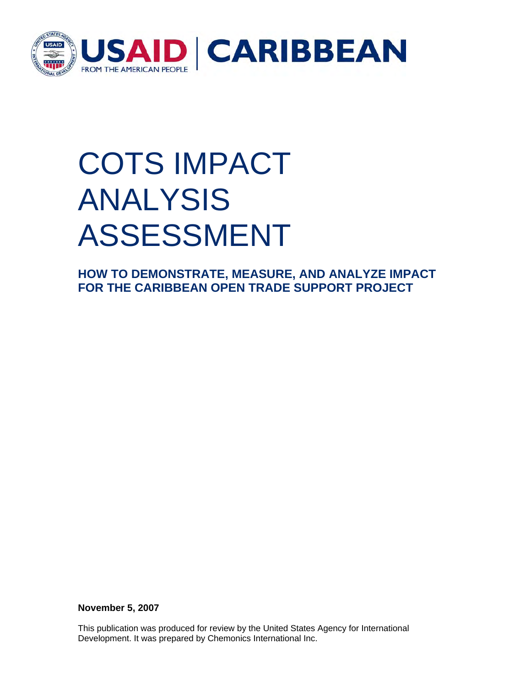

## COTS IMPACT ANALYSIS ASSESSMENT

**HOW TO DEMONSTRATE, MEASURE, AND ANALYZE IMPACT FOR THE CARIBBEAN OPEN TRADE SUPPORT PROJECT** 

**November 5, 2007** 

This publication was produced for review by the United States Agency for International Development. It was prepared by Chemonics International Inc.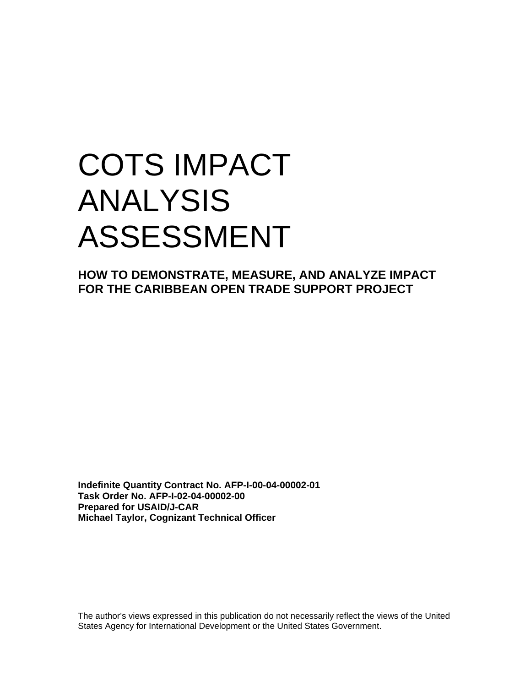## COTS IMPACT ANALYSIS ASSESSMENT

**HOW TO DEMONSTRATE, MEASURE, AND ANALYZE IMPACT FOR THE CARIBBEAN OPEN TRADE SUPPORT PROJECT** 

**Indefinite Quantity Contract No. AFP-I-00-04-00002-01 Task Order No. AFP-I-02-04-00002-00 Prepared for USAID/J-CAR Michael Taylor, Cognizant Technical Officer** 

The author's views expressed in this publication do not necessarily reflect the views of the United States Agency for International Development or the United States Government.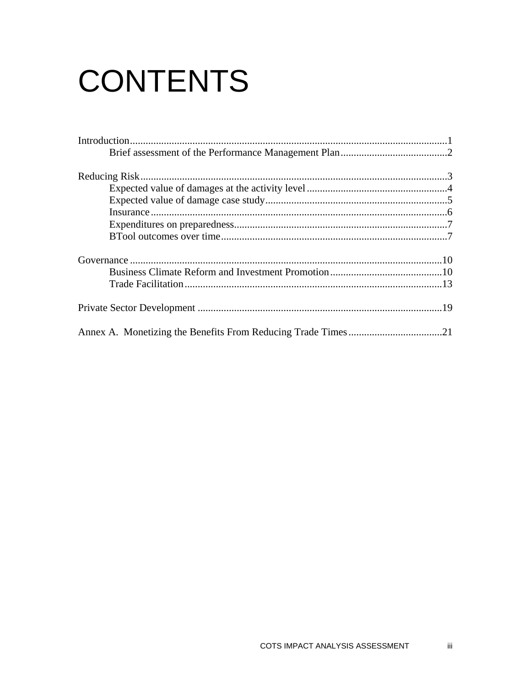# **CONTENTS**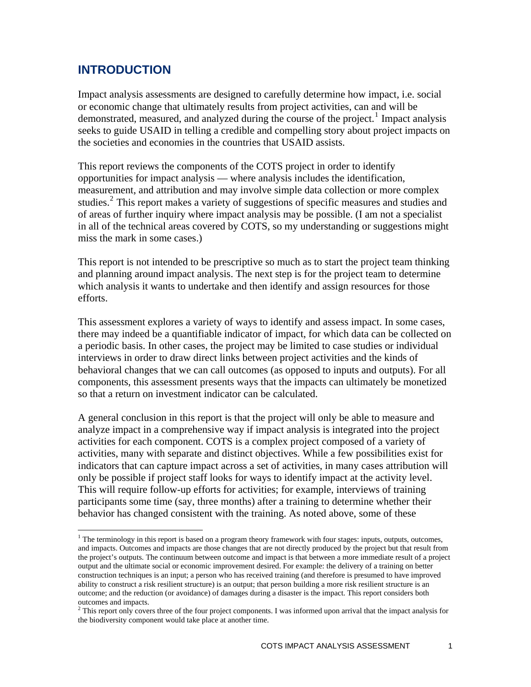### <span id="page-3-0"></span>**INTRODUCTION**

1

Impact analysis assessments are designed to carefully determine how impact, i.e. social or economic change that ultimately results from project activities, can and will be demonstrated, measured, and analyzed during the course of the project.<sup>[1](#page-3-1)</sup> Impact analysis seeks to guide USAID in telling a credible and compelling story about project impacts on the societies and economies in the countries that USAID assists.

This report reviews the components of the COTS project in order to identify opportunities for impact analysis — where analysis includes the identification, measurement, and attribution and may involve simple data collection or more complex studies.<sup>[2](#page-3-2)</sup> This report makes a variety of suggestions of specific measures and studies and of areas of further inquiry where impact analysis may be possible. (I am not a specialist in all of the technical areas covered by COTS, so my understanding or suggestions might miss the mark in some cases.)

This report is not intended to be prescriptive so much as to start the project team thinking and planning around impact analysis. The next step is for the project team to determine which analysis it wants to undertake and then identify and assign resources for those efforts.

This assessment explores a variety of ways to identify and assess impact. In some cases, there may indeed be a quantifiable indicator of impact, for which data can be collected on a periodic basis. In other cases, the project may be limited to case studies or individual interviews in order to draw direct links between project activities and the kinds of behavioral changes that we can call outcomes (as opposed to inputs and outputs). For all components, this assessment presents ways that the impacts can ultimately be monetized so that a return on investment indicator can be calculated.

A general conclusion in this report is that the project will only be able to measure and analyze impact in a comprehensive way if impact analysis is integrated into the project activities for each component. COTS is a complex project composed of a variety of activities, many with separate and distinct objectives. While a few possibilities exist for indicators that can capture impact across a set of activities, in many cases attribution will only be possible if project staff looks for ways to identify impact at the activity level. This will require follow-up efforts for activities; for example, interviews of training participants some time (say, three months) after a training to determine whether their behavior has changed consistent with the training. As noted above, some of these

<span id="page-3-1"></span><sup>&</sup>lt;sup>1</sup> The terminology in this report is based on a program theory framework with four stages: inputs, outputs, outcomes, and impacts. Outcomes and impacts are those changes that are not directly produced by the project but that result from the project's outputs. The continuum between outcome and impact is that between a more immediate result of a project output and the ultimate social or economic improvement desired. For example: the delivery of a training on better construction techniques is an input; a person who has received training (and therefore is presumed to have improved ability to construct a risk resilient structure) is an output; that person building a more risk resilient structure is an outcome; and the reduction (or avoidance) of damages during a disaster is the impact. This report considers both outcomes and impacts.

<span id="page-3-2"></span> $2^2$  This report only covers three of the four project components. I was informed upon arrival that the impact analysis for the biodiversity component would take place at another time.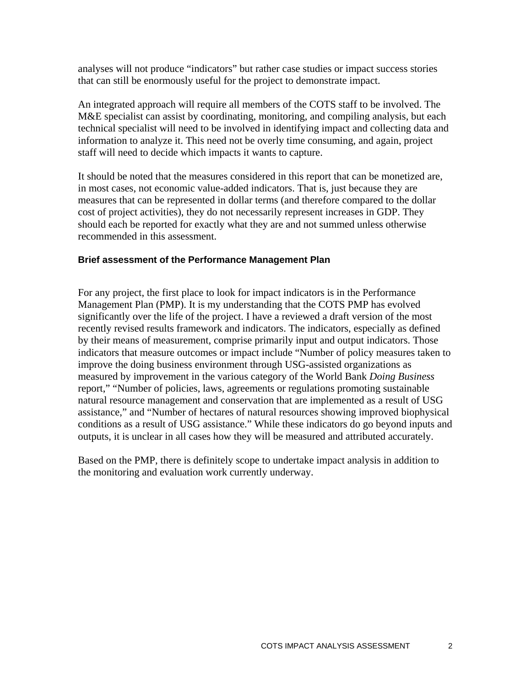<span id="page-4-0"></span>analyses will not produce "indicators" but rather case studies or impact success stories that can still be enormously useful for the project to demonstrate impact.

An integrated approach will require all members of the COTS staff to be involved. The M&E specialist can assist by coordinating, monitoring, and compiling analysis, but each technical specialist will need to be involved in identifying impact and collecting data and information to analyze it. This need not be overly time consuming, and again, project staff will need to decide which impacts it wants to capture.

It should be noted that the measures considered in this report that can be monetized are, in most cases, not economic value-added indicators. That is, just because they are measures that can be represented in dollar terms (and therefore compared to the dollar cost of project activities), they do not necessarily represent increases in GDP. They should each be reported for exactly what they are and not summed unless otherwise recommended in this assessment.

#### **Brief assessment of the Performance Management Plan**

For any project, the first place to look for impact indicators is in the Performance Management Plan (PMP). It is my understanding that the COTS PMP has evolved significantly over the life of the project. I have a reviewed a draft version of the most recently revised results framework and indicators. The indicators, especially as defined by their means of measurement, comprise primarily input and output indicators. Those indicators that measure outcomes or impact include "Number of policy measures taken to improve the doing business environment through USG-assisted organizations as measured by improvement in the various category of the World Bank *Doing Business* report," "Number of policies, laws, agreements or regulations promoting sustainable natural resource management and conservation that are implemented as a result of USG assistance," and "Number of hectares of natural resources showing improved biophysical conditions as a result of USG assistance." While these indicators do go beyond inputs and outputs, it is unclear in all cases how they will be measured and attributed accurately.

Based on the PMP, there is definitely scope to undertake impact analysis in addition to the monitoring and evaluation work currently underway.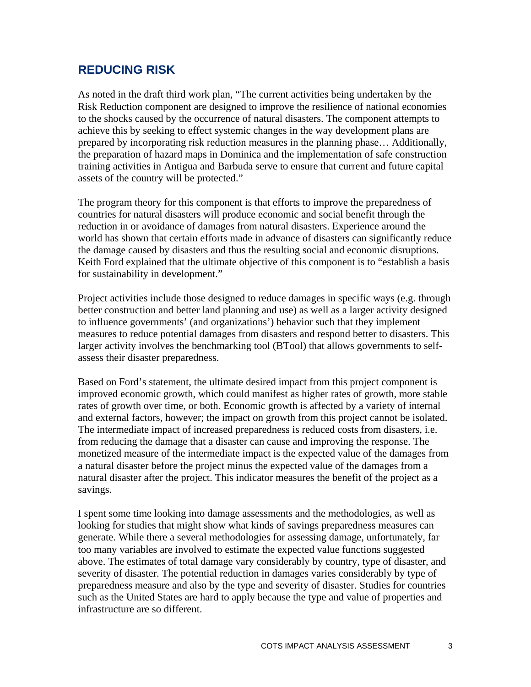### <span id="page-5-0"></span>**REDUCING RISK**

As noted in the draft third work plan, "The current activities being undertaken by the Risk Reduction component are designed to improve the resilience of national economies to the shocks caused by the occurrence of natural disasters. The component attempts to achieve this by seeking to effect systemic changes in the way development plans are prepared by incorporating risk reduction measures in the planning phase… Additionally, the preparation of hazard maps in Dominica and the implementation of safe construction training activities in Antigua and Barbuda serve to ensure that current and future capital assets of the country will be protected."

The program theory for this component is that efforts to improve the preparedness of countries for natural disasters will produce economic and social benefit through the reduction in or avoidance of damages from natural disasters. Experience around the world has shown that certain efforts made in advance of disasters can significantly reduce the damage caused by disasters and thus the resulting social and economic disruptions. Keith Ford explained that the ultimate objective of this component is to "establish a basis" for sustainability in development."

Project activities include those designed to reduce damages in specific ways (e.g. through better construction and better land planning and use) as well as a larger activity designed to influence governments' (and organizations') behavior such that they implement measures to reduce potential damages from disasters and respond better to disasters. This larger activity involves the benchmarking tool (BTool) that allows governments to selfassess their disaster preparedness.

Based on Ford's statement, the ultimate desired impact from this project component is improved economic growth, which could manifest as higher rates of growth, more stable rates of growth over time, or both. Economic growth is affected by a variety of internal and external factors, however; the impact on growth from this project cannot be isolated. The intermediate impact of increased preparedness is reduced costs from disasters, i.e. from reducing the damage that a disaster can cause and improving the response. The monetized measure of the intermediate impact is the expected value of the damages from a natural disaster before the project minus the expected value of the damages from a natural disaster after the project. This indicator measures the benefit of the project as a savings.

I spent some time looking into damage assessments and the methodologies, as well as looking for studies that might show what kinds of savings preparedness measures can generate. While there a several methodologies for assessing damage, unfortunately, far too many variables are involved to estimate the expected value functions suggested above. The estimates of total damage vary considerably by country, type of disaster, and severity of disaster. The potential reduction in damages varies considerably by type of preparedness measure and also by the type and severity of disaster. Studies for countries such as the United States are hard to apply because the type and value of properties and infrastructure are so different.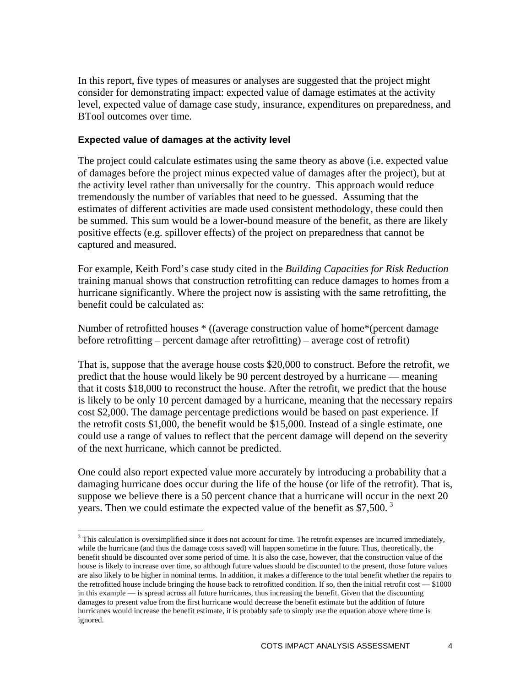<span id="page-6-0"></span>In this report, five types of measures or analyses are suggested that the project might consider for demonstrating impact: expected value of damage estimates at the activity level, expected value of damage case study, insurance, expenditures on preparedness, and BTool outcomes over time.

#### **Expected value of damages at the activity level**

 $\overline{a}$ 

The project could calculate estimates using the same theory as above (i.e. expected value of damages before the project minus expected value of damages after the project), but at the activity level rather than universally for the country. This approach would reduce tremendously the number of variables that need to be guessed. Assuming that the estimates of different activities are made used consistent methodology, these could then be summed. This sum would be a lower-bound measure of the benefit, as there are likely positive effects (e.g. spillover effects) of the project on preparedness that cannot be captured and measured.

For example, Keith Ford's case study cited in the *Building Capacities for Risk Reduction* training manual shows that construction retrofitting can reduce damages to homes from a hurricane significantly. Where the project now is assisting with the same retrofitting, the benefit could be calculated as:

Number of retrofitted houses \* ((average construction value of home\*(percent damage before retrofitting – percent damage after retrofitting) – average cost of retrofit)

That is, suppose that the average house costs \$20,000 to construct. Before the retrofit, we predict that the house would likely be 90 percent destroyed by a hurricane — meaning that it costs \$18,000 to reconstruct the house. After the retrofit, we predict that the house is likely to be only 10 percent damaged by a hurricane, meaning that the necessary repairs cost \$2,000. The damage percentage predictions would be based on past experience. If the retrofit costs \$1,000, the benefit would be \$15,000. Instead of a single estimate, one could use a range of values to reflect that the percent damage will depend on the severity of the next hurricane, which cannot be predicted.

One could also report expected value more accurately by introducing a probability that a damaging hurricane does occur during the life of the house (or life of the retrofit). That is, suppose we believe there is a 50 percent chance that a hurricane will occur in the next 20 years. Then we could estimate the expected value of the benefit as  $$7,500$ .<sup>[3](#page-6-1)</sup>

<span id="page-6-1"></span> $3$  This calculation is oversimplified since it does not account for time. The retrofit expenses are incurred immediately, while the hurricane (and thus the damage costs saved) will happen sometime in the future. Thus, theoretically, the benefit should be discounted over some period of time. It is also the case, however, that the construction value of the house is likely to increase over time, so although future values should be discounted to the present, those future values are also likely to be higher in nominal terms. In addition, it makes a difference to the total benefit whether the repairs to the retrofitted house include bringing the house back to retrofitted condition. If so, then the initial retrofit cost — \$1000 in this example — is spread across all future hurricanes, thus increasing the benefit. Given that the discounting damages to present value from the first hurricane would decrease the benefit estimate but the addition of future hurricanes would increase the benefit estimate, it is probably safe to simply use the equation above where time is ignored.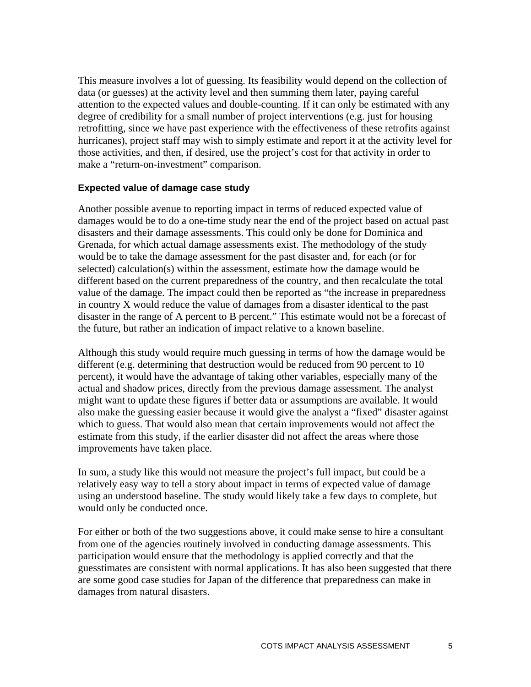<span id="page-7-0"></span>This measure involves a lot of guessing. Its feasibility would depend on the collection of data (or guesses) at the activity level and then summing them later, paying careful attention to the expected values and double-counting. If it can only be estimated with any degree of credibility for a small number of project interventions (e.g. just for housing retrofitting, since we have past experience with the effectiveness of these retrofits against hurricanes), project staff may wish to simply estimate and report it at the activity level for those activities, and then, if desired, use the project's cost for that activity in order to make a "return-on-investment" comparison.

#### **Expected value of damage case study**

Another possible avenue to reporting impact in terms of reduced expected value of damages would be to do a one-time study near the end of the project based on actual past disasters and their damage assessments. This could only be done for Dominica and Grenada, for which actual damage assessments exist. The methodology of the study would be to take the damage assessment for the past disaster and, for each (or for selected) calculation(s) within the assessment, estimate how the damage would be different based on the current preparedness of the country, and then recalculate the total value of the damage. The impact could then be reported as "the increase in preparedness in country X would reduce the value of damages from a disaster identical to the past disaster in the range of A percent to B percent." This estimate would not be a forecast of the future, but rather an indication of impact relative to a known baseline.

Although this study would require much guessing in terms of how the damage would be different (e.g. determining that destruction would be reduced from 90 percent to 10 percent), it would have the advantage of taking other variables, especially many of the actual and shadow prices, directly from the previous damage assessment. The analyst might want to update these figures if better data or assumptions are available. It would also make the guessing easier because it would give the analyst a "fixed" disaster against which to guess. That would also mean that certain improvements would not affect the estimate from this study, if the earlier disaster did not affect the areas where those improvements have taken place.

In sum, a study like this would not measure the project's full impact, but could be a relatively easy way to tell a story about impact in terms of expected value of damage using an understood baseline. The study would likely take a few days to complete, but would only be conducted once.

For either or both of the two suggestions above, it could make sense to hire a consultant from one of the agencies routinely involved in conducting damage assessments. This participation would ensure that the methodology is applied correctly and that the guesstimates are consistent with normal applications. It has also been suggested that there are some good case studies for Japan of the difference that preparedness can make in damages from natural disasters.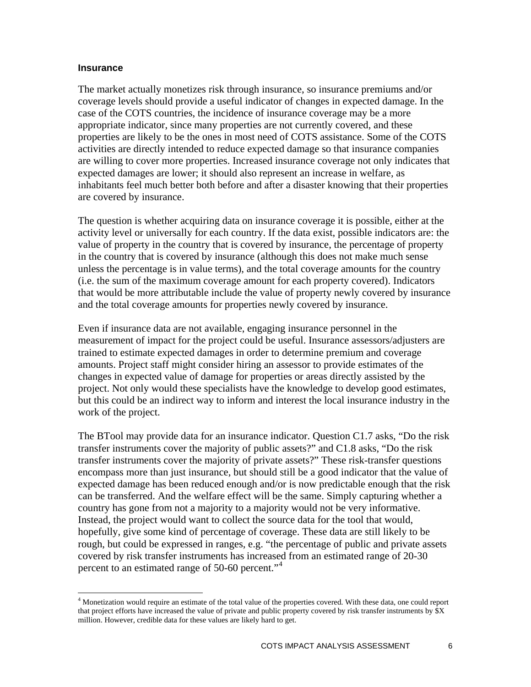#### <span id="page-8-0"></span>**Insurance**

 $\overline{a}$ 

The market actually monetizes risk through insurance, so insurance premiums and/or coverage levels should provide a useful indicator of changes in expected damage. In the case of the COTS countries, the incidence of insurance coverage may be a more appropriate indicator, since many properties are not currently covered, and these properties are likely to be the ones in most need of COTS assistance. Some of the COTS activities are directly intended to reduce expected damage so that insurance companies are willing to cover more properties. Increased insurance coverage not only indicates that expected damages are lower; it should also represent an increase in welfare, as inhabitants feel much better both before and after a disaster knowing that their properties are covered by insurance.

The question is whether acquiring data on insurance coverage it is possible, either at the activity level or universally for each country. If the data exist, possible indicators are: the value of property in the country that is covered by insurance, the percentage of property in the country that is covered by insurance (although this does not make much sense unless the percentage is in value terms), and the total coverage amounts for the country (i.e. the sum of the maximum coverage amount for each property covered). Indicators that would be more attributable include the value of property newly covered by insurance and the total coverage amounts for properties newly covered by insurance.

Even if insurance data are not available, engaging insurance personnel in the measurement of impact for the project could be useful. Insurance assessors/adjusters are trained to estimate expected damages in order to determine premium and coverage amounts. Project staff might consider hiring an assessor to provide estimates of the changes in expected value of damage for properties or areas directly assisted by the project. Not only would these specialists have the knowledge to develop good estimates, but this could be an indirect way to inform and interest the local insurance industry in the work of the project.

The BTool may provide data for an insurance indicator. Question C1.7 asks, "Do the risk transfer instruments cover the majority of public assets?" and C1.8 asks, "Do the risk transfer instruments cover the majority of private assets?" These risk-transfer questions encompass more than just insurance, but should still be a good indicator that the value of expected damage has been reduced enough and/or is now predictable enough that the risk can be transferred. And the welfare effect will be the same. Simply capturing whether a country has gone from not a majority to a majority would not be very informative. Instead, the project would want to collect the source data for the tool that would, hopefully, give some kind of percentage of coverage. These data are still likely to be rough, but could be expressed in ranges, e.g. "the percentage of public and private assets covered by risk transfer instruments has increased from an estimated range of 20-30 percent to an estimated range of 50-60 percent."<sup>[4](#page-8-1)</sup>

<span id="page-8-1"></span><sup>&</sup>lt;sup>4</sup> Monetization would require an estimate of the total value of the properties covered. With these data, one could report that project efforts have increased the value of private and public property covered by risk transfer instruments by \$X million. However, credible data for these values are likely hard to get.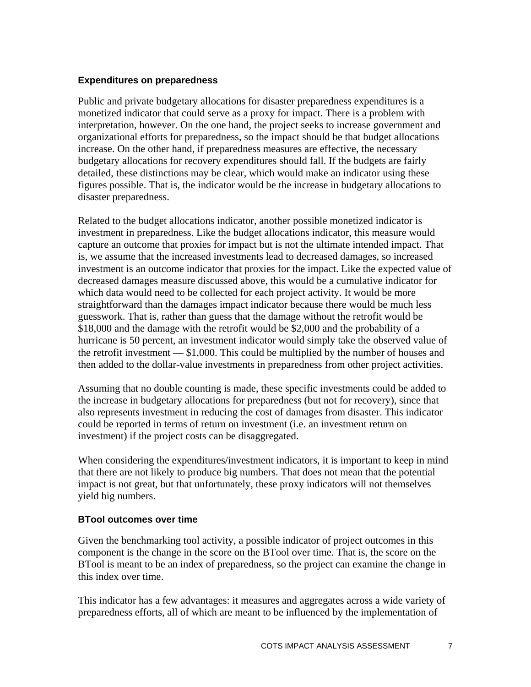#### <span id="page-9-0"></span>**Expenditures on preparedness**

Public and private budgetary allocations for disaster preparedness expenditures is a monetized indicator that could serve as a proxy for impact. There is a problem with interpretation, however. On the one hand, the project seeks to increase government and organizational efforts for preparedness, so the impact should be that budget allocations increase. On the other hand, if preparedness measures are effective, the necessary budgetary allocations for recovery expenditures should fall. If the budgets are fairly detailed, these distinctions may be clear, which would make an indicator using these figures possible. That is, the indicator would be the increase in budgetary allocations to disaster preparedness.

Related to the budget allocations indicator, another possible monetized indicator is investment in preparedness. Like the budget allocations indicator, this measure would capture an outcome that proxies for impact but is not the ultimate intended impact. That is, we assume that the increased investments lead to decreased damages, so increased investment is an outcome indicator that proxies for the impact. Like the expected value of decreased damages measure discussed above, this would be a cumulative indicator for which data would need to be collected for each project activity. It would be more straightforward than the damages impact indicator because there would be much less guesswork. That is, rather than guess that the damage without the retrofit would be \$18,000 and the damage with the retrofit would be \$2,000 and the probability of a hurricane is 50 percent, an investment indicator would simply take the observed value of the retrofit investment — \$1,000. This could be multiplied by the number of houses and then added to the dollar-value investments in preparedness from other project activities.

Assuming that no double counting is made, these specific investments could be added to the increase in budgetary allocations for preparedness (but not for recovery), since that also represents investment in reducing the cost of damages from disaster. This indicator could be reported in terms of return on investment (i.e. an investment return on investment) if the project costs can be disaggregated.

When considering the expenditures/investment indicators, it is important to keep in mind that there are not likely to produce big numbers. That does not mean that the potential impact is not great, but that unfortunately, these proxy indicators will not themselves yield big numbers.

#### **BTool outcomes over time**

Given the benchmarking tool activity, a possible indicator of project outcomes in this component is the change in the score on the BTool over time. That is, the score on the BTool is meant to be an index of preparedness, so the project can examine the change in this index over time.

This indicator has a few advantages: it measures and aggregates across a wide variety of preparedness efforts, all of which are meant to be influenced by the implementation of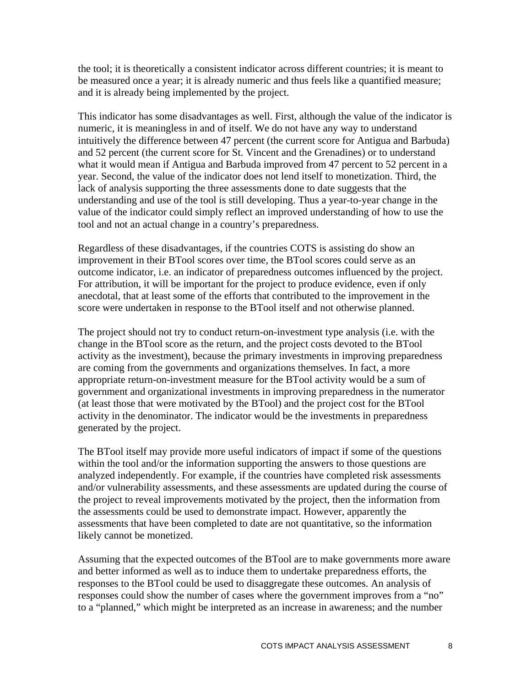the tool; it is theoretically a consistent indicator across different countries; it is meant to be measured once a year; it is already numeric and thus feels like a quantified measure; and it is already being implemented by the project.

This indicator has some disadvantages as well. First, although the value of the indicator is numeric, it is meaningless in and of itself. We do not have any way to understand intuitively the difference between 47 percent (the current score for Antigua and Barbuda) and 52 percent (the current score for St. Vincent and the Grenadines) or to understand what it would mean if Antigua and Barbuda improved from 47 percent to 52 percent in a year. Second, the value of the indicator does not lend itself to monetization. Third, the lack of analysis supporting the three assessments done to date suggests that the understanding and use of the tool is still developing. Thus a year-to-year change in the value of the indicator could simply reflect an improved understanding of how to use the tool and not an actual change in a country's preparedness.

Regardless of these disadvantages, if the countries COTS is assisting do show an improvement in their BTool scores over time, the BTool scores could serve as an outcome indicator, i.e. an indicator of preparedness outcomes influenced by the project. For attribution, it will be important for the project to produce evidence, even if only anecdotal, that at least some of the efforts that contributed to the improvement in the score were undertaken in response to the BTool itself and not otherwise planned.

The project should not try to conduct return-on-investment type analysis (i.e. with the change in the BTool score as the return, and the project costs devoted to the BTool activity as the investment), because the primary investments in improving preparedness are coming from the governments and organizations themselves. In fact, a more appropriate return-on-investment measure for the BTool activity would be a sum of government and organizational investments in improving preparedness in the numerator (at least those that were motivated by the BTool) and the project cost for the BTool activity in the denominator. The indicator would be the investments in preparedness generated by the project.

The BTool itself may provide more useful indicators of impact if some of the questions within the tool and/or the information supporting the answers to those questions are analyzed independently. For example, if the countries have completed risk assessments and/or vulnerability assessments, and these assessments are updated during the course of the project to reveal improvements motivated by the project, then the information from the assessments could be used to demonstrate impact. However, apparently the assessments that have been completed to date are not quantitative, so the information likely cannot be monetized.

Assuming that the expected outcomes of the BTool are to make governments more aware and better informed as well as to induce them to undertake preparedness efforts, the responses to the BTool could be used to disaggregate these outcomes. An analysis of responses could show the number of cases where the government improves from a "no" to a "planned," which might be interpreted as an increase in awareness; and the number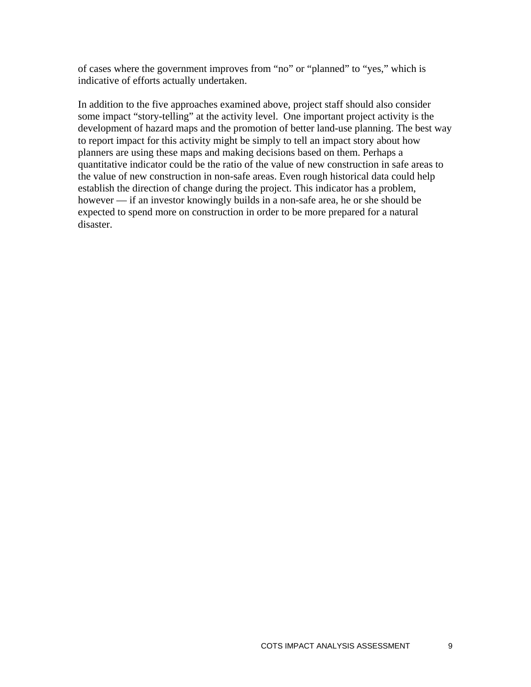of cases where the government improves from "no" or "planned" to "yes," which is indicative of efforts actually undertaken.

In addition to the five approaches examined above, project staff should also consider some impact "story-telling" at the activity level. One important project activity is the development of hazard maps and the promotion of better land-use planning. The best way to report impact for this activity might be simply to tell an impact story about how planners are using these maps and making decisions based on them. Perhaps a quantitative indicator could be the ratio of the value of new construction in safe areas to the value of new construction in non-safe areas. Even rough historical data could help establish the direction of change during the project. This indicator has a problem, however — if an investor knowingly builds in a non-safe area, he or she should be expected to spend more on construction in order to be more prepared for a natural disaster.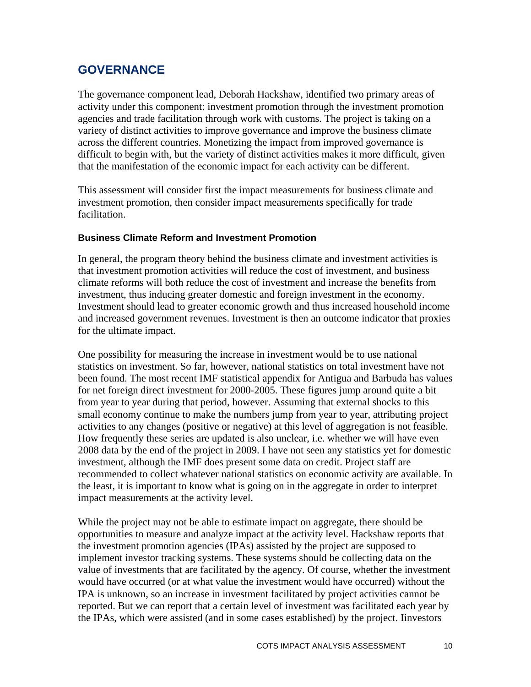## <span id="page-12-0"></span>**GOVERNANCE**

The governance component lead, Deborah Hackshaw, identified two primary areas of activity under this component: investment promotion through the investment promotion agencies and trade facilitation through work with customs. The project is taking on a variety of distinct activities to improve governance and improve the business climate across the different countries. Monetizing the impact from improved governance is difficult to begin with, but the variety of distinct activities makes it more difficult, given that the manifestation of the economic impact for each activity can be different.

This assessment will consider first the impact measurements for business climate and investment promotion, then consider impact measurements specifically for trade facilitation.

#### **Business Climate Reform and Investment Promotion**

In general, the program theory behind the business climate and investment activities is that investment promotion activities will reduce the cost of investment, and business climate reforms will both reduce the cost of investment and increase the benefits from investment, thus inducing greater domestic and foreign investment in the economy. Investment should lead to greater economic growth and thus increased household income and increased government revenues. Investment is then an outcome indicator that proxies for the ultimate impact.

One possibility for measuring the increase in investment would be to use national statistics on investment. So far, however, national statistics on total investment have not been found. The most recent IMF statistical appendix for Antigua and Barbuda has values for net foreign direct investment for 2000-2005. These figures jump around quite a bit from year to year during that period, however. Assuming that external shocks to this small economy continue to make the numbers jump from year to year, attributing project activities to any changes (positive or negative) at this level of aggregation is not feasible. How frequently these series are updated is also unclear, i.e. whether we will have even 2008 data by the end of the project in 2009. I have not seen any statistics yet for domestic investment, although the IMF does present some data on credit. Project staff are recommended to collect whatever national statistics on economic activity are available. In the least, it is important to know what is going on in the aggregate in order to interpret impact measurements at the activity level.

While the project may not be able to estimate impact on aggregate, there should be opportunities to measure and analyze impact at the activity level. Hackshaw reports that the investment promotion agencies (IPAs) assisted by the project are supposed to implement investor tracking systems. These systems should be collecting data on the value of investments that are facilitated by the agency. Of course, whether the investment would have occurred (or at what value the investment would have occurred) without the IPA is unknown, so an increase in investment facilitated by project activities cannot be reported. But we can report that a certain level of investment was facilitated each year by the IPAs, which were assisted (and in some cases established) by the project. Iinvestors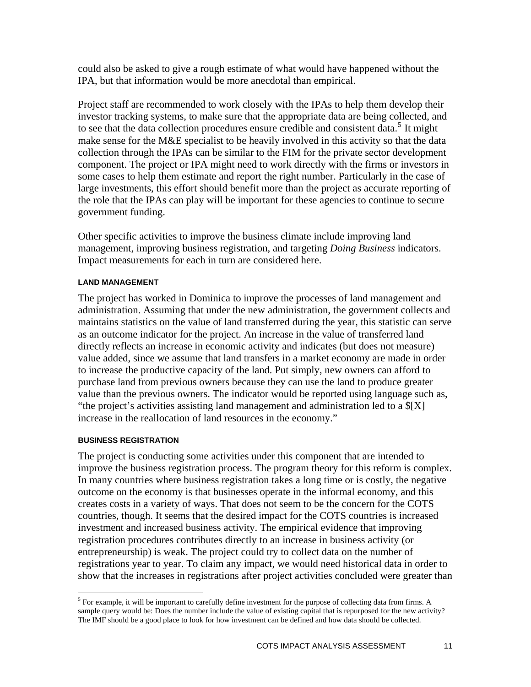could also be asked to give a rough estimate of what would have happened without the IPA, but that information would be more anecdotal than empirical.

Project staff are recommended to work closely with the IPAs to help them develop their investor tracking systems, to make sure that the appropriate data are being collected, and to see that the data collection procedures ensure credible and consistent data.<sup>[5](#page-13-0)</sup> It might make sense for the M&E specialist to be heavily involved in this activity so that the data collection through the IPAs can be similar to the FIM for the private sector development component. The project or IPA might need to work directly with the firms or investors in some cases to help them estimate and report the right number. Particularly in the case of large investments, this effort should benefit more than the project as accurate reporting of the role that the IPAs can play will be important for these agencies to continue to secure government funding.

Other specific activities to improve the business climate include improving land management, improving business registration, and targeting *Doing Business* indicators. Impact measurements for each in turn are considered here.

#### **LAND MANAGEMENT**

The project has worked in Dominica to improve the processes of land management and administration. Assuming that under the new administration, the government collects and maintains statistics on the value of land transferred during the year, this statistic can serve as an outcome indicator for the project. An increase in the value of transferred land directly reflects an increase in economic activity and indicates (but does not measure) value added, since we assume that land transfers in a market economy are made in order to increase the productive capacity of the land. Put simply, new owners can afford to purchase land from previous owners because they can use the land to produce greater value than the previous owners. The indicator would be reported using language such as, "the project's activities assisting land management and administration led to a \$[X] increase in the reallocation of land resources in the economy."

#### **BUSINESS REGISTRATION**

 $\overline{a}$ 

The project is conducting some activities under this component that are intended to improve the business registration process. The program theory for this reform is complex. In many countries where business registration takes a long time or is costly, the negative outcome on the economy is that businesses operate in the informal economy, and this creates costs in a variety of ways. That does not seem to be the concern for the COTS countries, though. It seems that the desired impact for the COTS countries is increased investment and increased business activity. The empirical evidence that improving registration procedures contributes directly to an increase in business activity (or entrepreneurship) is weak. The project could try to collect data on the number of registrations year to year. To claim any impact, we would need historical data in order to show that the increases in registrations after project activities concluded were greater than

<span id="page-13-0"></span><sup>&</sup>lt;sup>5</sup> For example, it will be important to carefully define investment for the purpose of collecting data from firms. A sample query would be: Does the number include the value of existing capital that is repurposed for the new activity? The IMF should be a good place to look for how investment can be defined and how data should be collected.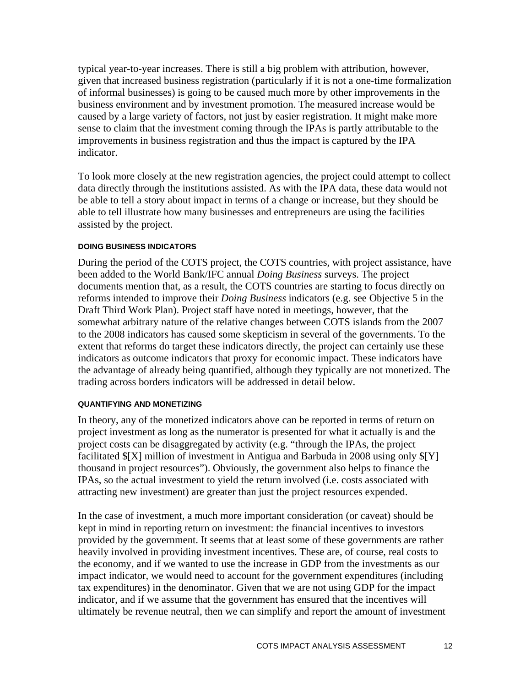typical year-to-year increases. There is still a big problem with attribution, however, given that increased business registration (particularly if it is not a one-time formalization of informal businesses) is going to be caused much more by other improvements in the business environment and by investment promotion. The measured increase would be caused by a large variety of factors, not just by easier registration. It might make more sense to claim that the investment coming through the IPAs is partly attributable to the improvements in business registration and thus the impact is captured by the IPA indicator.

To look more closely at the new registration agencies, the project could attempt to collect data directly through the institutions assisted. As with the IPA data, these data would not be able to tell a story about impact in terms of a change or increase, but they should be able to tell illustrate how many businesses and entrepreneurs are using the facilities assisted by the project.

#### **DOING BUSINESS INDICATORS**

During the period of the COTS project, the COTS countries, with project assistance, have been added to the World Bank/IFC annual *Doing Business* surveys. The project documents mention that, as a result, the COTS countries are starting to focus directly on reforms intended to improve their *Doing Business* indicators (e.g. see Objective 5 in the Draft Third Work Plan). Project staff have noted in meetings, however, that the somewhat arbitrary nature of the relative changes between COTS islands from the 2007 to the 2008 indicators has caused some skepticism in several of the governments. To the extent that reforms do target these indicators directly, the project can certainly use these indicators as outcome indicators that proxy for economic impact. These indicators have the advantage of already being quantified, although they typically are not monetized. The trading across borders indicators will be addressed in detail below.

#### **QUANTIFYING AND MONETIZING**

In theory, any of the monetized indicators above can be reported in terms of return on project investment as long as the numerator is presented for what it actually is and the project costs can be disaggregated by activity (e.g. "through the IPAs, the project facilitated \$[X] million of investment in Antigua and Barbuda in 2008 using only \$[Y] thousand in project resources"). Obviously, the government also helps to finance the IPAs, so the actual investment to yield the return involved (i.e. costs associated with attracting new investment) are greater than just the project resources expended.

In the case of investment, a much more important consideration (or caveat) should be kept in mind in reporting return on investment: the financial incentives to investors provided by the government. It seems that at least some of these governments are rather heavily involved in providing investment incentives. These are, of course, real costs to the economy, and if we wanted to use the increase in GDP from the investments as our impact indicator, we would need to account for the government expenditures (including tax expenditures) in the denominator. Given that we are not using GDP for the impact indicator, and if we assume that the government has ensured that the incentives will ultimately be revenue neutral, then we can simplify and report the amount of investment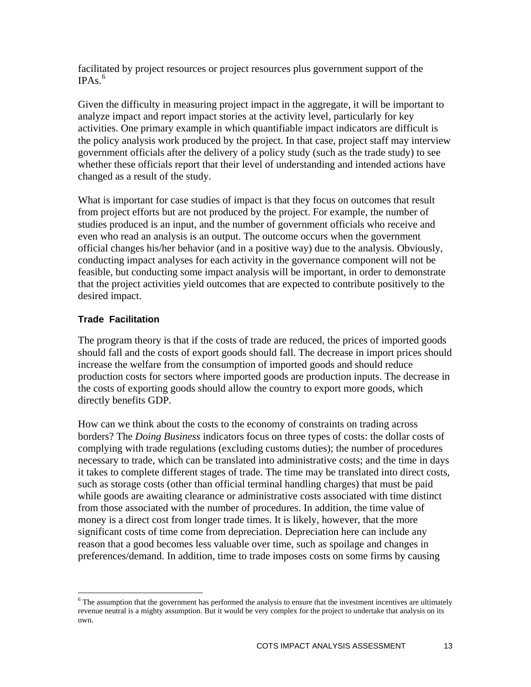<span id="page-15-0"></span>facilitated by project resources or project resources plus government support of the  $IPAs.<sup>6</sup>$  $IPAs.<sup>6</sup>$  $IPAs.<sup>6</sup>$ 

Given the difficulty in measuring project impact in the aggregate, it will be important to analyze impact and report impact stories at the activity level, particularly for key activities. One primary example in which quantifiable impact indicators are difficult is the policy analysis work produced by the project. In that case, project staff may interview government officials after the delivery of a policy study (such as the trade study) to see whether these officials report that their level of understanding and intended actions have changed as a result of the study.

What is important for case studies of impact is that they focus on outcomes that result from project efforts but are not produced by the project. For example, the number of studies produced is an input, and the number of government officials who receive and even who read an analysis is an output. The outcome occurs when the government official changes his/her behavior (and in a positive way) due to the analysis. Obviously, conducting impact analyses for each activity in the governance component will not be feasible, but conducting some impact analysis will be important, in order to demonstrate that the project activities yield outcomes that are expected to contribute positively to the desired impact.

#### **Trade Facilitation**

 $\overline{a}$ 

The program theory is that if the costs of trade are reduced, the prices of imported goods should fall and the costs of export goods should fall. The decrease in import prices should increase the welfare from the consumption of imported goods and should reduce production costs for sectors where imported goods are production inputs. The decrease in the costs of exporting goods should allow the country to export more goods, which directly benefits GDP.

How can we think about the costs to the economy of constraints on trading across borders? The *Doing Business* indicators focus on three types of costs: the dollar costs of complying with trade regulations (excluding customs duties); the number of procedures necessary to trade, which can be translated into administrative costs; and the time in days it takes to complete different stages of trade. The time may be translated into direct costs, such as storage costs (other than official terminal handling charges) that must be paid while goods are awaiting clearance or administrative costs associated with time distinct from those associated with the number of procedures. In addition, the time value of money is a direct cost from longer trade times. It is likely, however, that the more significant costs of time come from depreciation. Depreciation here can include any reason that a good becomes less valuable over time, such as spoilage and changes in preferences/demand. In addition, time to trade imposes costs on some firms by causing

<span id="page-15-1"></span> $<sup>6</sup>$  The assumption that the government has performed the analysis to ensure that the investment incentives are ultimately</sup> revenue neutral is a mighty assumption. But it would be very complex for the project to undertake that analysis on its own.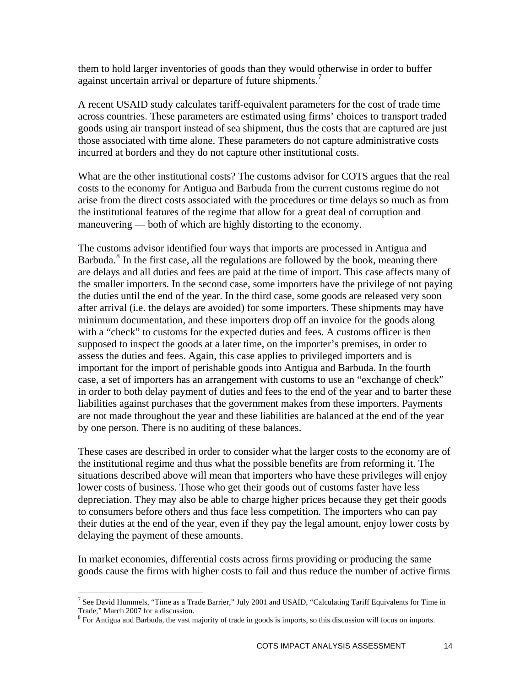them to hold larger inventories of goods than they would otherwise in order to buffer against uncertain arrival or departure of future shipments.<sup>[7](#page-16-0)</sup>

A recent USAID study calculates tariff-equivalent parameters for the cost of trade time across countries. These parameters are estimated using firms' choices to transport traded goods using air transport instead of sea shipment, thus the costs that are captured are just those associated with time alone. These parameters do not capture administrative costs incurred at borders and they do not capture other institutional costs.

What are the other institutional costs? The customs advisor for COTS argues that the real costs to the economy for Antigua and Barbuda from the current customs regime do not arise from the direct costs associated with the procedures or time delays so much as from the institutional features of the regime that allow for a great deal of corruption and maneuvering — both of which are highly distorting to the economy.

The customs advisor identified four ways that imports are processed in Antigua and Barbuda.<sup>[8](#page-16-1)</sup> In the first case, all the regulations are followed by the book, meaning there are delays and all duties and fees are paid at the time of import. This case affects many of the smaller importers. In the second case, some importers have the privilege of not paying the duties until the end of the year. In the third case, some goods are released very soon after arrival (i.e. the delays are avoided) for some importers. These shipments may h ave minimum documentation, and these importers drop off an invoice for the goods along with a "check" to customs for the expected duties and fees. A customs officer is then supposed to inspect the goods at a later time, on the importer's premises, in order to assess the duties and fees. Again, this case applies to privileged importers and is important for the import of perishable goods into Antigua and Barbuda. In the fourth case, a set of importers has an arrangement with customs to use an "exchange of check" in order to both delay payment of duties and fees to the end of the year and to barter these liabilities against purchases that the government makes from these importers. Payments are not made throughout the year and these liabilities are balanced at the end of the year by one person. There is no auditing of these balances.

These cases are described in order to consider what the larger costs to the economy are of the institutional regime and thus what the possible benefits are from reforming it. The situations described above will mean that importers who have these privileges will enjoy lower costs of business. Those who get their goods out of customs faster have less depreciation. They may also be able to charge higher prices because they get their goods to consumers before others and thus face less competition. The importers who can pay their duties at the end of the year, even if they pay the legal amount, enjoy lower costs by delaying the payment of these amounts.

In market economies, differential costs across firms providing or producing the same goods cause the firms with higher costs to fail and thus reduce the number of active firms

 $\overline{a}$ 

<span id="page-16-0"></span><sup>&</sup>lt;sup>7</sup> See David Hummels, "Time as a Trade Barrier," July 2001 and USAID, "Calculating Tariff Equivalents for Time in Trade," March 2007 for a discussion.

<span id="page-16-1"></span><sup>&</sup>lt;sup>8</sup> For Antigua and Barbuda, the vast majority of trade in goods is imports, so this discussion will focus on imports.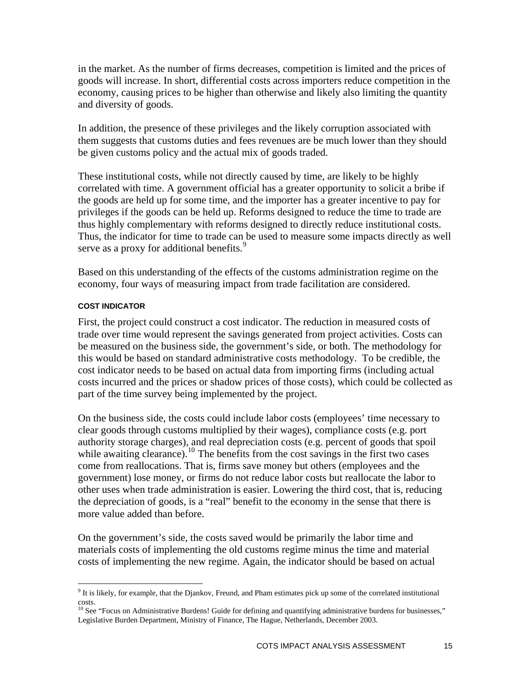in the market. As the number of firms decreases, competition is limited and the prices of goods will increase. In short, differential costs across importers reduce competition in the economy, causing prices to be higher than otherwise and likely also limiting the quantity and diversity of goods.

In addition, the presence of these privileges and the likely corruption associated with them suggests that customs duties and fees revenues are be much lower than they should be given customs policy and the actual mix of goods traded.

These institutional costs, while not directly caused by time, are likely to be highly correlated with time. A government official has a greater opportunity to solicit a bribe if the goods are held up for some time, and the importer has a greater incentive to pay for privileges if the goods can be held up. Reforms designed to reduce the time to trade are thus highly complementary with reforms designed to directly reduce institutional costs. Thus, the indicator for time to trade can be used to measure some impacts directly as well serve as a proxy for additional benefits.<sup>[9](#page-17-0)</sup>

Based on this understanding of the effects of the customs administration regime on the economy, four ways of measuring impact from trade facilitation are considered.

#### **COST INDICATOR**

First, the project could construct a cost indicator. The reduction in measured costs of trade over time would represent the savings generated from project activities. Costs can be measured on the business side, the government's side, or both. The methodology for this would be based on standard administrative costs methodology. To be credible, the cost indicator needs to be based on actual data from importing firms (including actual costs incurred and the prices or shadow prices of those costs), which could be collected as part of the time survey being implemented by the project.

On the business side, the costs could include labor costs (employees' time necessary to clear goods through customs multiplied by their wages), compliance costs (e.g. port authority storage charges), and real depreciation costs (e.g. percent of goods that spoil while awaiting clearance).<sup>[10](#page-17-1)</sup> The benefits from the cost savings in the first two cases come from reallocations. That is, firms save money but others (employees and the government) lose money, or firms do not reduce labor costs but reallocate the labor to other uses when trade administration is easier. Lowering the third cost, that is, reducing the depreciation of goods, is a "real" benefit to the economy in the sense that there is more value added than before.

On the government's side, the costs saved would be primarily the labor time and materials costs of implementing the old customs regime minus the time and material costs of implementing the new regime. Again, the indicator should be based on actual

<span id="page-17-0"></span><sup>&</sup>lt;sup>9</sup> It is likely, for example, that the Djankov, Freund, and Pham estimates pick up some of the correlated institutional <sup>9</sup> costs.

<span id="page-17-1"></span> $10$  See "Focus on Administrative Burdens! Guide for defining and quantifying administrative burdens for businesses," Legislative Burden Department, Ministry of Finance, The Hague, Netherlands, December 2003.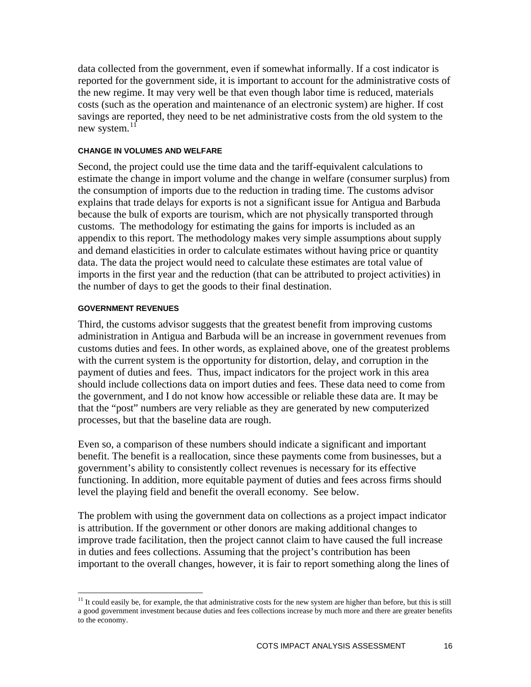data collected from the government, even if somewhat informally. If a cost indicator is reported for the government side, it is important to account for the administrative costs of the new regime. It may very well be that even though labor time is reduced, materials costs (such as the operation and maintenance of an electronic system) are higher. If cost savings are reported, they need to be net administrative costs from the old system to the new system. $^{11}$  $^{11}$  $^{11}$ 

#### **CHANGE IN VOLUMES AND WELFARE**

Second, the project could use the time data and the tariff-equivalent calculations to estimate the change in import volume and the change in welfare (consumer surplus) from the consumption of imports due to the reduction in trading time. The customs advisor explains that trade delays for exports is not a significant issue for Antigua and Barbuda because the bulk of exports are tourism, which are not physically transported through customs. The methodology for estimating the gains for imports is included as an appendix to this report. The methodology makes very simple assumptions about supply and demand elasticities in order to calculate estimates without having price or quantity data. The data the project would need to calculate these estimates are total value of imports in the first year and the reduction (that can be attributed to project activities) in the number of days to get the goods to their final destination.

#### **GOVERNMENT REVENUES**

 $\overline{a}$ 

Third, the customs advisor suggests that the greatest benefit from improving customs administration in Antigua and Barbuda will be an increase in government revenues from customs duties and fees. In other words, as explained above, one of the greatest problems with the current system is the opportunity for distortion, delay, and corruption in the payment of duties and fees. Thus, impact indicators for the project work in this area should include collections data on import duties and fees. These data need to come from the government, and I do not know how accessible or reliable these data are. It may be that the "post" numbers are very reliable as they are generated by new computerized processes, but that the baseline data are rough.

Even so, a comparison of these numbers should indicate a significant and important benefit. The benefit is a reallocation, since these payments come from businesses, but a government's ability to consistently collect revenues is necessary for its effective functioning. In addition, more equitable payment of duties and fees across firms should level the playing field and benefit the overall economy. See below.

The problem with using the government data on collections as a project impact indicator is attribution. If the government or other donors are making additional changes to improve trade facilitation, then the project cannot claim to have caused the full increase in duties and fees collections. Assuming that the project's contribution has been important to the overall changes, however, it is fair to report something along the lines of

<span id="page-18-0"></span> $11$  It could easily be, for example, the that administrative costs for the new system are higher than before, but this is still a good government investment because duties and fees collections increase by much more and there are greater benefits to the economy.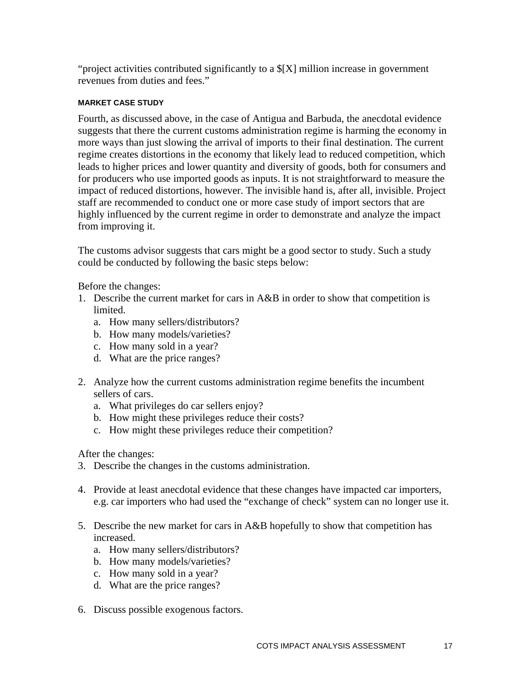"project activities contributed significantly to a \$[X] million increase in government revenues from duties and fees."

#### **MARKET CASE STUDY**

Fourth, as discussed above, in the case of Antigua and Barbuda, the anecdotal evidence suggests that there the current customs administration regime is harming the economy in more ways than just slowing the arrival of imports to their final destination. The current regime creates distortions in the economy that likely lead to reduced competition, which leads to higher prices and lower quantity and diversity of goods, both for consumers and for producers who use imported goods as inputs. It is not straightforward to measure the impact of reduced distortions, however. The invisible hand is, after all, invisible. Project staff are recommended to conduct one or more case study of import sectors that are highly influenced by the current regime in order to demonstrate and analyze the impact from improving it.

The customs advisor suggests that cars might be a good sector to study. Such a study could be conducted by following the basic steps below:

Before the changes:

- 1. Describe the current market for cars in A&B in order to show that competition is limited.
	- a. How many sellers/distributors?
	- b. How many models/varieties?
	- c. How many sold in a year?
	- d. What are the price ranges?
- 2. Analyze how the current customs administration regime benefits the incumbent sellers of cars.
	- a. What privileges do car sellers enjoy?
	- b. How might these privileges reduce their costs?
	- c. How might these privileges reduce their competition?

After the changes:

- 3. Describe the changes in the customs administration.
- 4. Provide at least anecdotal evidence that these changes have impacted car importers, e.g. car importers who had used the "exchange of check" system can no longer use it.
- 5. Describe the new market for cars in A&B hopefully to show that competition has increased.
	- a. How many sellers/distributors?
	- b. How many models/varieties?
	- c. How many sold in a year?
	- d. What are the price ranges?
- 6. Discuss possible exogenous factors.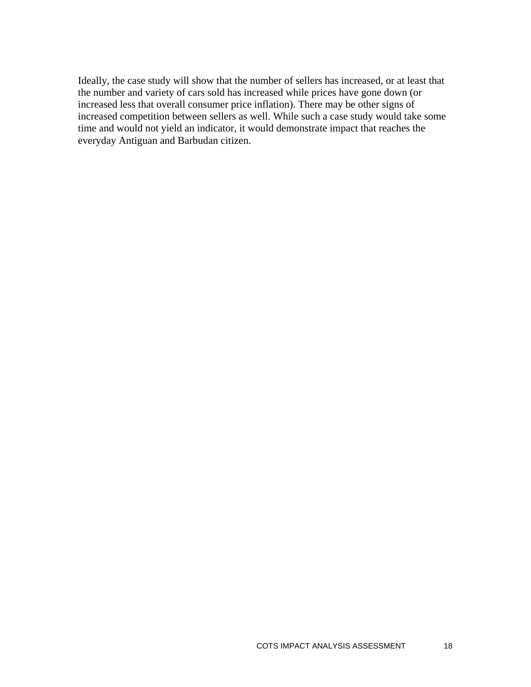Ideally, the case study will show that the number of sellers has increased, or at least that the number and variety of cars sold has increased while prices have gone down (or increased less that overall consumer price inflation). There may be other signs of increased competition between sellers as well. While such a case study would take some time and would not yield an indicator, it would demonstrate impact that reaches the everyday Antiguan and Barbudan citizen.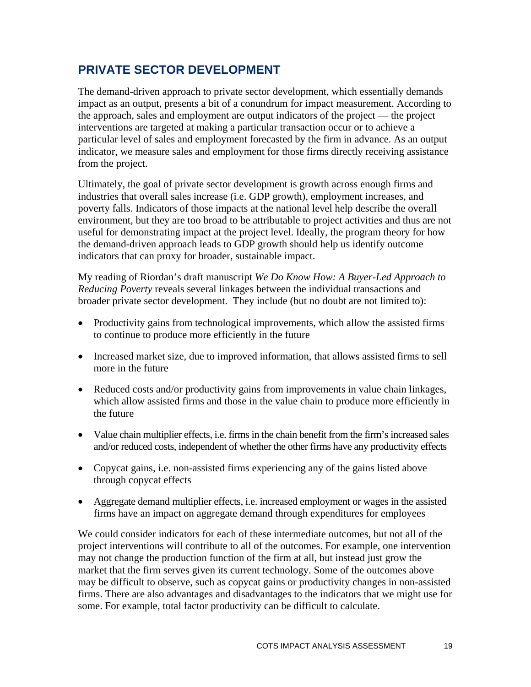## <span id="page-21-0"></span>**PRIVATE SECTOR DEVELOPMENT**

The demand-driven approach to private sector development, which essentially demands impact as an output, presents a bit of a conundrum for impact measurement. According to the approach, sales and employment are output indicators of the project — the project interventions are targeted at making a particular transaction occur or to achieve a particular level of sales and employment forecasted by the firm in advance. As an output indicator, we measure sales and employment for those firms directly receiving assistance from the project.

Ultimately, the goal of private sector development is growth across enough firms and industries that overall sales increase (i.e. GDP growth), employment increases, and poverty falls. Indicators of those impacts at the national level help describe the overall environment, but they are too broad to be attributable to project activities and thus are not useful for demonstrating impact at the project level. Ideally, the program theory for how the demand-driven approach leads to GDP growth should help us identify outcome indicators that can proxy for broader, sustainable impact.

My reading of Riordan's draft manuscript *We Do Know How: A Buyer-Led Approach to Reducing Poverty* reveals several linkages between the individual transactions and broader private sector development. They include (but no doubt are not limited to):

- Productivity gains from technological improvements, which allow the assisted firms to continue to produce more efficiently in the future
- Increased market size, due to improved information, that allows assisted firms to sell more in the future
- Reduced costs and/or productivity gains from improvements in value chain linkages, which allow assisted firms and those in the value chain to produce more efficiently in the future
- Value chain multiplier effects, i.e. firms in the chain benefit from the firm's increased sales and/or reduced costs, independent of whether the other firms have any productivity effects
- Copycat gains, i.e. non-assisted firms experiencing any of the gains listed above through copycat effects
- Aggregate demand multiplier effects, i.e. increased employment or wages in the assisted firms have an impact on aggregate demand through expenditures for employees

We could consider indicators for each of these intermediate outcomes, but not all of the project interventions will contribute to all of the outcomes. For example, one intervention may not change the production function of the firm at all, but instead just grow the market that the firm serves given its current technology. Some of the outcomes above may be difficult to observe, such as copycat gains or productivity changes in non-assisted firms. There are also advantages and disadvantages to the indicators that we might use for some. For example, total factor productivity can be difficult to calculate.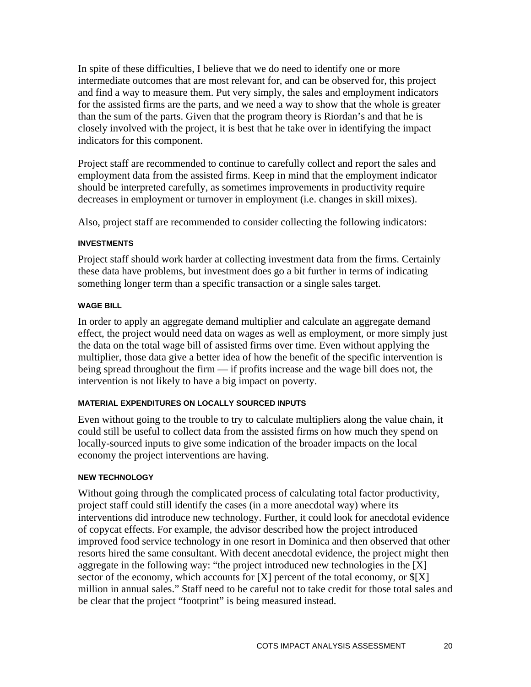In spite of these difficulties, I believe that we do need to identify one or more intermediate outcomes that are most relevant for, and can be observed for, this project and find a way to measure them. Put very simply, the sales and employment indicators for the assisted firms are the parts, and we need a way to show that the whole is greater than the sum of the parts. Given that the program theory is Riordan's and that he is closely involved with the project, it is best that he take over in identifying the impact indicators for this component.

Project staff are recommended to continue to carefully collect and report the sales and employment data from the assisted firms. Keep in mind that the employment indicator should be interpreted carefully, as sometimes improvements in productivity require decreases in employment or turnover in employment (i.e. changes in skill mixes).

Also, project staff are recommended to consider collecting the following indicators:

#### **INVESTMENTS**

Project staff should work harder at collecting investment data from the firms. Certainly these data have problems, but investment does go a bit further in terms of indicating something longer term than a specific transaction or a single sales target.

#### **WAGE BILL**

In order to apply an aggregate demand multiplier and calculate an aggregate demand effect, the project would need data on wages as well as employment, or more simply just the data on the total wage bill of assisted firms over time. Even without applying the multiplier, those data give a better idea of how the benefit of the specific intervention is being spread throughout the firm — if profits increase and the wage bill does not, the intervention is not likely to have a big impact on poverty.

#### **MATERIAL EXPENDITURES ON LOCALLY SOURCED INPUTS**

Even without going to the trouble to try to calculate multipliers along the value chain, it could still be useful to collect data from the assisted firms on how much they spend on locally-sourced inputs to give some indication of the broader impacts on the local economy the project interventions are having.

#### **NEW TECHNOLOGY**

Without going through the complicated process of calculating total factor productivity, project staff could still identify the cases (in a more anecdotal way) where its interventions did introduce new technology. Further, it could look for anecdotal evidence of copycat effects. For example, the advisor described how the project introduced improved food service technology in one resort in Dominica and then observed that other resorts hired the same consultant. With decent anecdotal evidence, the project might then aggregate in the following way: "the project introduced new technologies in the [X] sector of the economy, which accounts for  $[X]$  percent of the total economy, or  $\{[X]$ million in annual sales." Staff need to be careful not to take credit for those total sales and be clear that the project "footprint" is being measured instead.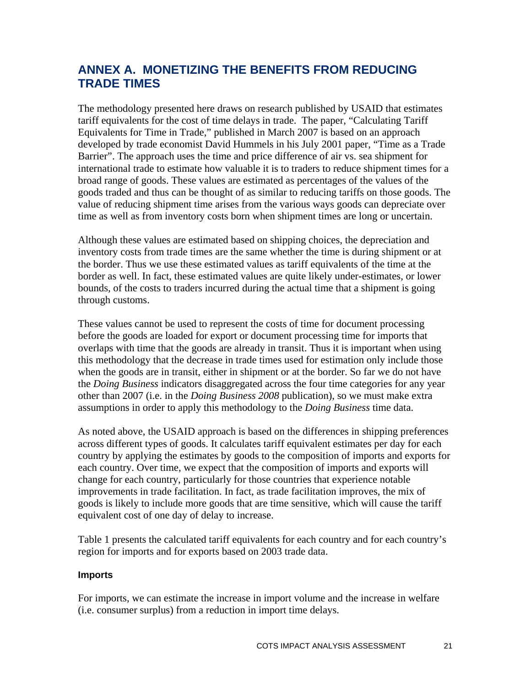## <span id="page-23-0"></span>**ANNEX A. MONETIZING THE BENEFITS FROM REDUCING TRADE TIMES**

The methodology presented here draws on research published by USAID that estimates tariff equivalents for the cost of time delays in trade. The paper, "Calculating Tariff Equivalents for Time in Trade," published in March 2007 is based on an approach developed by trade economist David Hummels in his July 2001 paper, "Time as a Trade Barrier". The approach uses the time and price difference of air vs. sea shipment for international trade to estimate how valuable it is to traders to reduce shipment times for a broad range of goods. These values are estimated as percentages of the values of the goods traded and thus can be thought of as similar to reducing tariffs on those goods. The value of reducing shipment time arises from the various ways goods can depreciate over time as well as from inventory costs born when shipment times are long or uncertain.

Although these values are estimated based on shipping choices, the depreciation and inventory costs from trade times are the same whether the time is during shipment or at the border. Thus we use these estimated values as tariff equivalents of the time at the border as well. In fact, these estimated values are quite likely under-estimates, or lower bounds, of the costs to traders incurred during the actual time that a shipment is going through customs.

These values cannot be used to represent the costs of time for document processing before the goods are loaded for export or document processing time for imports that overlaps with time that the goods are already in transit. Thus it is important when using this methodology that the decrease in trade times used for estimation only include those when the goods are in transit, either in shipment or at the border. So far we do not have the *Doing Business* indicators disaggregated across the four time categories for any year other than 2007 (i.e. in the *Doing Business 2008* publication), so we must make extra assumptions in order to apply this methodology to the *Doing Business* time data.

As noted above, the USAID approach is based on the differences in shipping preferences across different types of goods. It calculates tariff equivalent estimates per day for each country by applying the estimates by goods to the composition of imports and exports for each country. Over time, we expect that the composition of imports and exports will change for each country, particularly for those countries that experience notable improvements in trade facilitation. In fact, as trade facilitation improves, the mix of goods is likely to include more goods that are time sensitive, which will cause the tariff equivalent cost of one day of delay to increase.

Table 1 presents the calculated tariff equivalents for each country and for each country's region for imports and for exports based on 2003 trade data.

#### **Imports**

For imports, we can estimate the increase in import volume and the increase in welfare (i.e. consumer surplus) from a reduction in import time delays.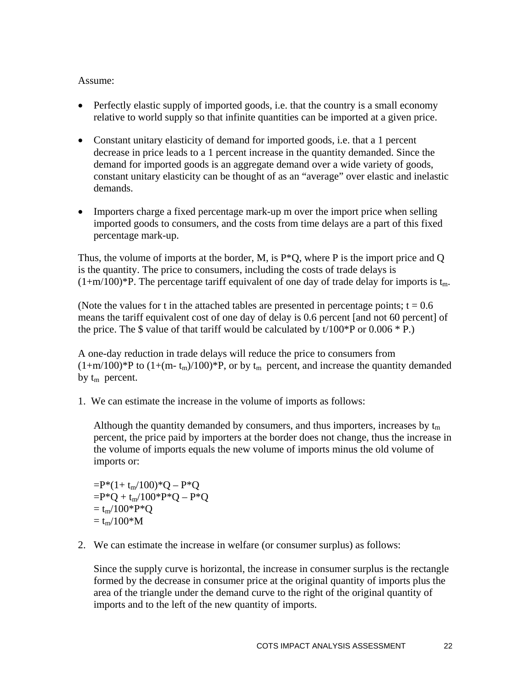#### Assume:

- Perfectly elastic supply of imported goods, i.e. that the country is a small economy relative to world supply so that infinite quantities can be imported at a given price.
- Constant unitary elasticity of demand for imported goods, i.e. that a 1 percent decrease in price leads to a 1 percent increase in the quantity demanded. Since the demand for imported goods is an aggregate demand over a wide variety of goods, constant unitary elasticity can be thought of as an "average" over elastic and inelastic demands.
- Importers charge a fixed percentage mark-up m over the import price when selling imported goods to consumers, and the costs from time delays are a part of this fixed percentage mark-up.

Thus, the volume of imports at the border, M, is  $P^*Q$ , where P is the import price and Q is the quantity. The price to consumers, including the costs of trade delays is  $(1+m/100)^*P$ . The percentage tariff equivalent of one day of trade delay for imports is t<sub>m</sub>.

(Note the values for t in the attached tables are presented in percentage points;  $t = 0.6$ ) means the tariff equivalent cost of one day of delay is 0.6 percent [and not 60 percent] of the price. The  $\$$  value of that tariff would be calculated by t/100\*P or 0.006 \* P.)

A one-day reduction in trade delays will reduce the price to consumers from  $(1+m/100)^*P$  to  $(1+(m-t_m)/100)^*P$ , or by  $t_m$  percent, and increase the quantity demanded by  $t_m$  percent.

1. We can estimate the increase in the volume of imports as follows:

Although the quantity demanded by consumers, and thus importers, increases by  $t_m$ percent, the price paid by importers at the border does not change, thus the increase in the volume of imports equals the new volume of imports minus the old volume of imports or:

 $=$ P\*(1+ t<sub>m</sub>/100)\*Q – P\*Q  $=$ P\*Q + t<sub>m</sub>/100\*P\*Q – P\*Q  $=$  t<sub>m</sub>/100\*P\*Q  $=$  t<sub>m</sub>/100\*M

2. We can estimate the increase in welfare (or consumer surplus) as follows:

Since the supply curve is horizontal, the increase in consumer surplus is the rectangle formed by the decrease in consumer price at the original quantity of imports plus the area of the triangle under the demand curve to the right of the original quantity of imports and to the left of the new quantity of imports.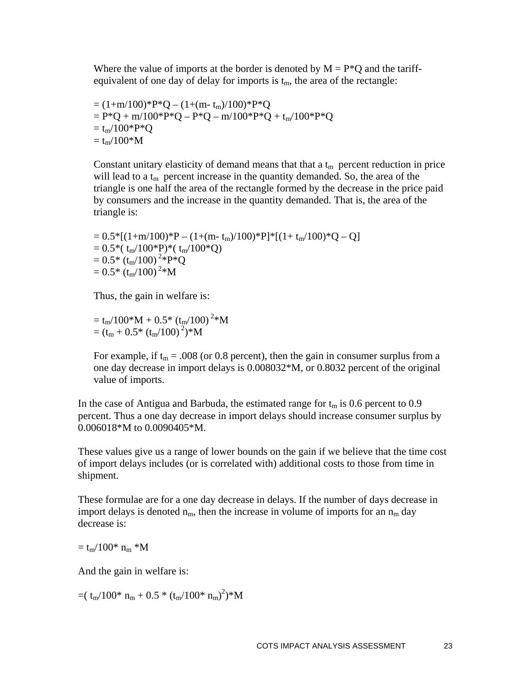Where the value of imports at the border is denoted by  $M = P^*Q$  and the tariffequivalent of one day of delay for imports is  $t_m$ , the area of the rectangle:

= 
$$
(1+m/100)^*P^*Q - (1+(m-t_m)/100)^*P^*Q
$$
  
=  $P^*Q + m/100^*P^*Q - P^*Q - m/100^*P^*Q + t_m/100^*P^*Q$   
=  $t_m/100^*P^*Q$   
=  $t_m/100^*M$ 

Constant unitary elasticity of demand means that that a  $t_m$  percent reduction in price will lead to a  $t_m$  percent increase in the quantity demanded. So, the area of the triangle is one half the area of the rectangle formed by the decrease in the price paid by consumers and the increase in the quantity demanded. That is, the area of the triangle is:

 $= 0.5*[(1+m/100)*P - (1+(m-t<sub>m</sub>)/100)*P]*[(1+t<sub>m</sub>/100)*Q - Q]$  $= 0.5*( \text{ t}_{\text{m}}/100*P)*(\text{ t}_{\text{m}}/100*Q)$  $= 0.5*$  (t<sub>m</sub>/100)<sup>2</sup>\*P\*Q  $= 0.5*$  (t<sub>m</sub>/100)<sup>2</sup>\*M

Thus, the gain in welfare is:

$$
= t_m/100^*M + 0.5^* (t_m/100)^{2*}M
$$
  
=  $(t_m + 0.5^* (t_m/100)^{2})^*M$ 

For example, if  $t_m = .008$  (or 0.8 percent), then the gain in consumer surplus from a one day decrease in import delays is 0.008032\*M, or 0.8032 percent of the original value of imports.

In the case of Antigua and Barbuda, the estimated range for  $t_m$  is 0.6 percent to 0.9 percent. Thus a one day decrease in import delays should increase consumer surplus by 0.006018\*M to 0.0090405\*M.

These values give us a range of lower bounds on the gain if we believe that the time cost of import delays includes (or is correlated with) additional costs to those from time in shipment.

These formulae are for a one day decrease in delays. If the number of days decrease in import delays is denoted  $n_m$ , then the increase in volume of imports for an  $n_m$  day decrease is:

 $=$  t<sub>m</sub> $/100$ \* n<sub>m</sub> \*M

And the gain in welfare is:

 $=(t_m/100^* n_m + 0.5 * (t_m/100^* n_m)^2)*M$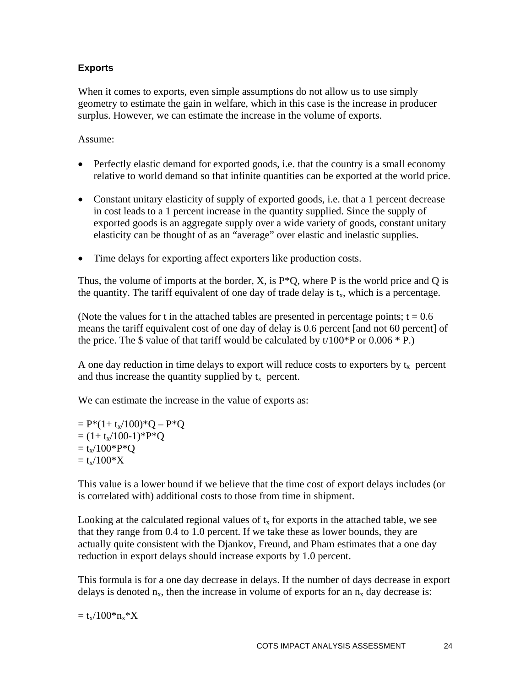#### **Exports**

When it comes to exports, even simple assumptions do not allow us to use simply geometry to estimate the gain in welfare, which in this case is the increase in producer surplus. However, we can estimate the increase in the volume of exports.

Assume:

- Perfectly elastic demand for exported goods, i.e. that the country is a small economy relative to world demand so that infinite quantities can be exported at the world price.
- Constant unitary elasticity of supply of exported goods, i.e. that a 1 percent decrease in cost leads to a 1 percent increase in the quantity supplied. Since the supply of exported goods is an aggregate supply over a wide variety of goods, constant unitary elasticity can be thought of as an "average" over elastic and inelastic supplies.
- Time delays for exporting affect exporters like production costs.

Thus, the volume of imports at the border,  $X$ , is  $P^*Q$ , where P is the world price and Q is the quantity. The tariff equivalent of one day of trade delay is  $t<sub>x</sub>$ , which is a percentage.

(Note the values for t in the attached tables are presented in percentage points;  $t = 0.6$ ) means the tariff equivalent cost of one day of delay is 0.6 percent [and not 60 percent] of the price. The  $\$$  value of that tariff would be calculated by t/100\*P or 0.006 \* P.)

A one day reduction in time delays to export will reduce costs to exporters by  $t_x$  percent and thus increase the quantity supplied by  $t_x$  percent.

We can estimate the increase in the value of exports as:

 $= P*(1+t_x/100)*Q - P*Q$  $= (1 + t_x/100-1)$ <sup>\*</sup>P<sup>\*</sup>Q  $= t_x/100*P*Q$  $= t_x/100^* X$ 

This value is a lower bound if we believe that the time cost of export delays includes (or is correlated with) additional costs to those from time in shipment.

Looking at the calculated regional values of  $t<sub>x</sub>$  for exports in the attached table, we see that they range from 0.4 to 1.0 percent. If we take these as lower bounds, they are actually quite consistent with the Djankov, Freund, and Pham estimates that a one day reduction in export delays should increase exports by 1.0 percent.

This formula is for a one day decrease in delays. If the number of days decrease in export delays is denoted  $n_x$ , then the increase in volume of exports for an  $n_x$  day decrease is:

 $= t_x/100^* n_x^* X$